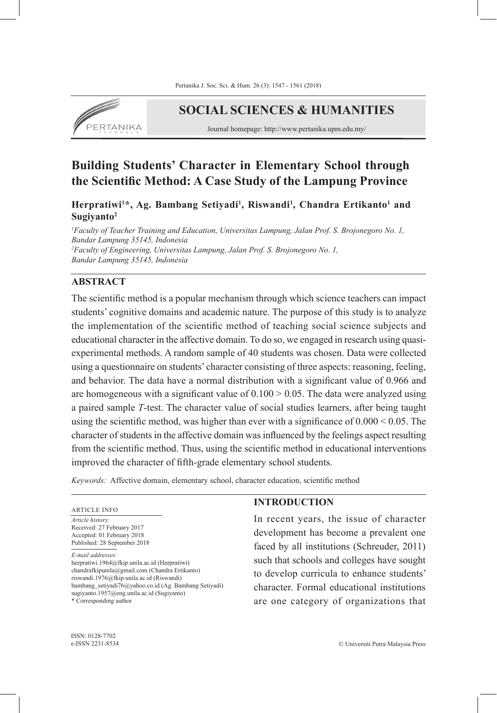

# **SOCIAL SCIENCES & HUMANITIES**

Journal homepage: http://www.pertanika.upm.edu.my/

# **Building Students' Character in Elementary School through the Scientific Method: A Case Study of the Lampung Province**

**Herpratiwi<sup>1</sup> \*, Ag. Bambang Setiyadi1 , Riswandi<sup>1</sup> , Chandra Ertikanto1 and Sugiyanto2**

*1 Faculty of Teacher Training and Education, Universitas Lampung, Jalan Prof. S. Brojonegoro No. 1, Bandar Lampung 35145, Indonesia 2 Faculty of Engineering, Universitas Lampung, Jalan Prof. S. Brojonegoro No. 1, Bandar Lampung 35145, Indonesia*

## **ABSTRACT**

The scientific method is a popular mechanism through which science teachers can impact students' cognitive domains and academic nature. The purpose of this study is to analyze the implementation of the scientific method of teaching social science subjects and educational character in the affective domain. To do so, we engaged in research using quasiexperimental methods. A random sample of 40 students was chosen. Data were collected using a questionnaire on students' character consisting of three aspects: reasoning, feeling, and behavior. The data have a normal distribution with a significant value of 0.966 and are homogeneous with a significant value of  $0.100 > 0.05$ . The data were analyzed using a paired sample *T*-test. The character value of social studies learners, after being taught using the scientific method, was higher than ever with a significance of  $0.000 \le 0.05$ . The character of students in the affective domain was influenced by the feelings aspect resulting from the scientific method. Thus, using the scientific method in educational interventions improved the character of fifth-grade elementary school students.

*Keywords:* Affective domain, elementary school, character education, scientific method

#### ARTICLE INFO

*Article history:* Received: 27 February 2017 Accepted: 01 February 2018 Published: 28 September 2018

*E-mail addresses*:

herpratiwi.1964@fkip.unila.ac.id (Herpratiwi) chandrafkipunila@gmail.com (Chandra Ertikanto) riswandi.1976@fkip.unila.ac.id (Riswandi) bambang\_setiyadi76@yahoo.co.id (Ag. Bambang Setiyadi) sugiyanto.1957@eng.unila.ac.id (Sugiyanto)

# **INTRODUCTION**

In recent years, the issue of character development has become a prevalent one faced by all institutions (Schreuder, 2011) such that schools and colleges have sought to develop curricula to enhance students' character. Formal educational institutions are one category of organizations that

<sup>\*</sup> Corresponding author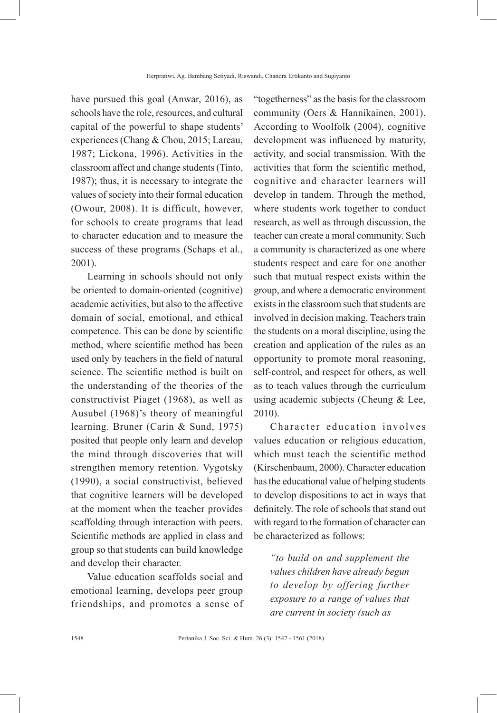have pursued this goal (Anwar, 2016), as schools have the role, resources, and cultural capital of the powerful to shape students' experiences (Chang & Chou, 2015; Lareau, 1987; Lickona, 1996). Activities in the classroom affect and change students (Tinto, 1987); thus, it is necessary to integrate the values of society into their formal education (Owour, 2008). It is difficult, however, for schools to create programs that lead to character education and to measure the success of these programs (Schaps et al., 2001).

Learning in schools should not only be oriented to domain-oriented (cognitive) academic activities, but also to the affective domain of social, emotional, and ethical competence. This can be done by scientific method, where scientific method has been used only by teachers in the field of natural science. The scientific method is built on the understanding of the theories of the constructivist Piaget (1968), as well as Ausubel (1968)'s theory of meaningful learning. Bruner (Carin & Sund, 1975) posited that people only learn and develop the mind through discoveries that will strengthen memory retention. Vygotsky (1990), a social constructivist, believed that cognitive learners will be developed at the moment when the teacher provides scaffolding through interaction with peers. Scientific methods are applied in class and group so that students can build knowledge and develop their character.

Value education scaffolds social and emotional learning, develops peer group friendships, and promotes a sense of

"togetherness" as the basis for the classroom community (Oers & Hannikainen, 2001). According to Woolfolk (2004), cognitive development was influenced by maturity, activity, and social transmission. With the activities that form the scientific method, cognitive and character learners will develop in tandem. Through the method, where students work together to conduct research, as well as through discussion, the teacher can create a moral community. Such a community is characterized as one where students respect and care for one another such that mutual respect exists within the group, and where a democratic environment exists in the classroom such that students are involved in decision making. Teachers train the students on a moral discipline, using the creation and application of the rules as an opportunity to promote moral reasoning, self-control, and respect for others, as well as to teach values through the curriculum using academic subjects (Cheung & Lee, 2010).

Character education involves values education or religious education, which must teach the scientific method (Kirschenbaum, 2000). Character education has the educational value of helping students to develop dispositions to act in ways that definitely. The role of schools that stand out with regard to the formation of character can be characterized as follows:

*"to build on and supplement the values children have already begun to develop by offering further exposure to a range of values that are current in society (such as*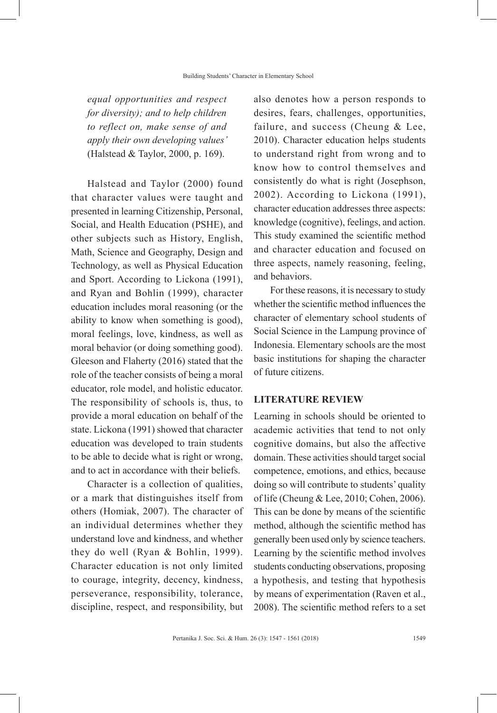*equal opportunities and respect for diversity); and to help children to reflect on, make sense of and apply their own developing values'*  (Halstead & Taylor, 2000, p. 169).

Halstead and Taylor (2000) found that character values were taught and presented in learning Citizenship, Personal, Social, and Health Education (PSHE), and other subjects such as History, English, Math, Science and Geography, Design and Technology, as well as Physical Education and Sport. According to Lickona (1991), and Ryan and Bohlin (1999), character education includes moral reasoning (or the ability to know when something is good), moral feelings, love, kindness, as well as moral behavior (or doing something good). Gleeson and Flaherty (2016) stated that the role of the teacher consists of being a moral educator, role model, and holistic educator. The responsibility of schools is, thus, to provide a moral education on behalf of the state. Lickona (1991) showed that character education was developed to train students to be able to decide what is right or wrong, and to act in accordance with their beliefs.

Character is a collection of qualities, or a mark that distinguishes itself from others (Homiak, 2007). The character of an individual determines whether they understand love and kindness, and whether they do well (Ryan & Bohlin, 1999). Character education is not only limited to courage, integrity, decency, kindness, perseverance, responsibility, tolerance, discipline, respect, and responsibility, but

also denotes how a person responds to desires, fears, challenges, opportunities, failure, and success (Cheung & Lee, 2010). Character education helps students to understand right from wrong and to know how to control themselves and consistently do what is right (Josephson, 2002). According to Lickona (1991), character education addresses three aspects: knowledge (cognitive), feelings, and action. This study examined the scientific method and character education and focused on three aspects, namely reasoning, feeling, and behaviors.

For these reasons, it is necessary to study whether the scientific method influences the character of elementary school students of Social Science in the Lampung province of Indonesia. Elementary schools are the most basic institutions for shaping the character of future citizens.

#### **LITERATURE REVIEW**

Learning in schools should be oriented to academic activities that tend to not only cognitive domains, but also the affective domain. These activities should target social competence, emotions, and ethics, because doing so will contribute to students' quality of life (Cheung & Lee, 2010; Cohen, 2006). This can be done by means of the scientific method, although the scientific method has generally been used only by science teachers. Learning by the scientific method involves students conducting observations, proposing a hypothesis, and testing that hypothesis by means of experimentation (Raven et al., 2008). The scientific method refers to a set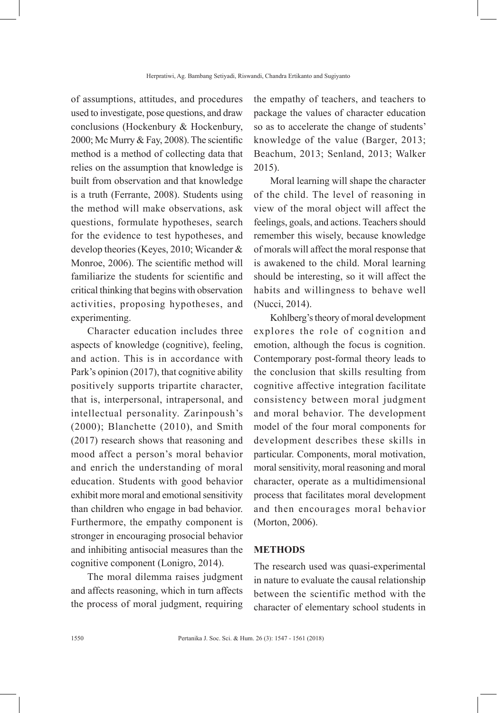of assumptions, attitudes, and procedures used to investigate, pose questions, and draw conclusions (Hockenbury & Hockenbury, 2000; Mc Murry & Fay, 2008). The scientific method is a method of collecting data that relies on the assumption that knowledge is built from observation and that knowledge is a truth (Ferrante, 2008). Students using the method will make observations, ask questions, formulate hypotheses, search for the evidence to test hypotheses, and develop theories (Keyes, 2010; Wicander & Monroe, 2006). The scientific method will familiarize the students for scientific and critical thinking that begins with observation activities, proposing hypotheses, and experimenting.

Character education includes three aspects of knowledge (cognitive), feeling, and action. This is in accordance with Park's opinion (2017), that cognitive ability positively supports tripartite character, that is, interpersonal, intrapersonal, and intellectual personality. Zarinpoush's (2000); Blanchette (2010), and Smith (2017) research shows that reasoning and mood affect a person's moral behavior and enrich the understanding of moral education. Students with good behavior exhibit more moral and emotional sensitivity than children who engage in bad behavior. Furthermore, the empathy component is stronger in encouraging prosocial behavior and inhibiting antisocial measures than the cognitive component (Lonigro, 2014).

The moral dilemma raises judgment and affects reasoning, which in turn affects the process of moral judgment, requiring

the empathy of teachers, and teachers to package the values of character education so as to accelerate the change of students' knowledge of the value (Barger, 2013; Beachum, 2013; Senland, 2013; Walker 2015).

Moral learning will shape the character of the child. The level of reasoning in view of the moral object will affect the feelings, goals, and actions. Teachers should remember this wisely, because knowledge of morals will affect the moral response that is awakened to the child. Moral learning should be interesting, so it will affect the habits and willingness to behave well (Nucci, 2014).

Kohlberg's theory of moral development explores the role of cognition and emotion, although the focus is cognition. Contemporary post-formal theory leads to the conclusion that skills resulting from cognitive affective integration facilitate consistency between moral judgment and moral behavior. The development model of the four moral components for development describes these skills in particular. Components, moral motivation, moral sensitivity, moral reasoning and moral character, operate as a multidimensional process that facilitates moral development and then encourages moral behavior (Morton, 2006).

#### **METHODS**

The research used was quasi-experimental in nature to evaluate the causal relationship between the scientific method with the character of elementary school students in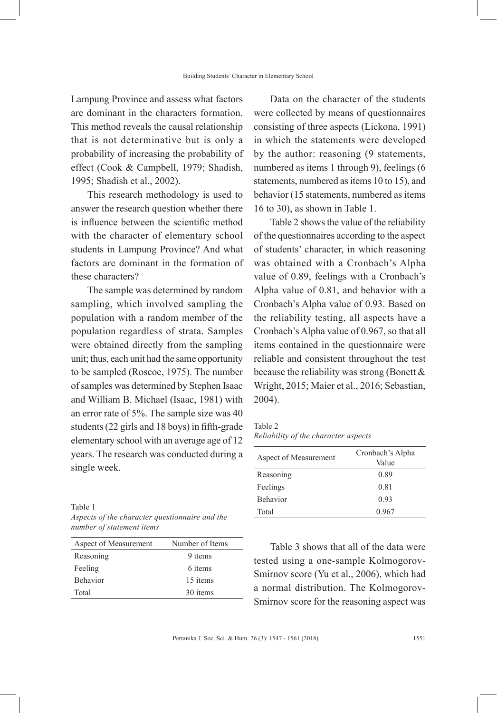Lampung Province and assess what factors are dominant in the characters formation. This method reveals the causal relationship that is not determinative but is only a probability of increasing the probability of effect (Cook & Campbell, 1979; Shadish, 1995; Shadish et al., 2002).

This research methodology is used to answer the research question whether there is influence between the scientific method with the character of elementary school students in Lampung Province? And what factors are dominant in the formation of these characters?

The sample was determined by random sampling, which involved sampling the population with a random member of the population regardless of strata. Samples were obtained directly from the sampling unit; thus, each unit had the same opportunity to be sampled (Roscoe, 1975). The number of samples was determined by Stephen Isaac and William B. Michael (Isaac, 1981) with an error rate of 5%. The sample size was 40 students (22 girls and 18 boys) in fifth-grade elementary school with an average age of 12 years. The research was conducted during a single week.

Table 1

| Aspects of the character questionnaire and the |
|------------------------------------------------|
| number of statement items                      |

| Aspect of Measurement | Number of Items |
|-----------------------|-----------------|
| Reasoning             | 9 items         |
| Feeling               | 6 items         |
| <b>Behavior</b>       | 15 items        |
| Total                 | 30 items        |

Data on the character of the students were collected by means of questionnaires consisting of three aspects (Lickona, 1991) in which the statements were developed by the author: reasoning (9 statements, numbered as items 1 through 9), feelings (6 statements, numbered as items 10 to 15), and behavior (15 statements, numbered as items 16 to 30), as shown in Table 1.

Table 2 shows the value of the reliability of the questionnaires according to the aspect of students' character, in which reasoning was obtained with a Cronbach's Alpha value of 0.89, feelings with a Cronbach's Alpha value of 0.81, and behavior with a Cronbach's Alpha value of 0.93. Based on the reliability testing, all aspects have a Cronbach's Alpha value of 0.967, so that all items contained in the questionnaire were reliable and consistent throughout the test because the reliability was strong (Bonett & Wright, 2015; Maier et al., 2016; Sebastian, 2004).

Table 2 *Reliability of the character aspects*

| Aspect of Measurement | Cronbach's Alpha<br>Value |
|-----------------------|---------------------------|
| Reasoning             | 0.89                      |
| Feelings              | 0.81                      |
| <b>Behavior</b>       | 0.93                      |
| Total                 | 0.967                     |

Table 3 shows that all of the data were tested using a one-sample Kolmogorov-Smirnov score (Yu et al., 2006), which had a normal distribution. The Kolmogorov-Smirnov score for the reasoning aspect was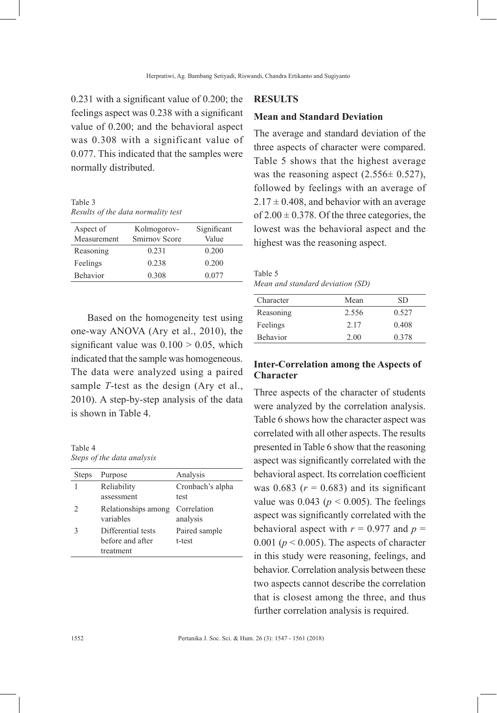0.231 with a significant value of 0.200; the feelings aspect was 0.238 with a significant value of 0.200; and the behavioral aspect was 0.308 with a significant value of 0.077. This indicated that the samples were normally distributed.

Table 3 *Results of the data normality test*

| Aspect of<br>Measurement | Kolmogorov-<br>Smirnov Score | Significant<br>Value |
|--------------------------|------------------------------|----------------------|
| Reasoning                | 0.231                        | 0.200                |
| Feelings                 | 0.238                        | 0.200                |
| Behavior                 | 0.308                        | 0.077                |

Based on the homogeneity test using one-way ANOVA (Ary et al., 2010), the significant value was  $0.100 > 0.05$ , which indicated that the sample was homogeneous. The data were analyzed using a paired sample *T*-test as the design (Ary et al., 2010). A step-by-step analysis of the data is shown in Table 4.

Table 4 *Steps of the data analysis*

| <b>Steps</b> | Purpose             | Analysis         |
|--------------|---------------------|------------------|
|              | Reliability         | Cronbach's alpha |
|              | assessment          | test             |
| 2            | Relationships among | Correlation      |
|              | variables           | analysis         |
| 3            | Differential tests  | Paired sample    |
|              | before and after    | t-test           |
|              | treatment           |                  |

#### **RESULTS**

#### **Mean and Standard Deviation**

The average and standard deviation of the three aspects of character were compared. Table 5 shows that the highest average was the reasoning aspect  $(2.556 \pm 0.527)$ , followed by feelings with an average of  $2.17 \pm 0.408$ , and behavior with an average of  $2.00 \pm 0.378$ . Of the three categories, the lowest was the behavioral aspect and the highest was the reasoning aspect.

Table 5 *Mean and standard deviation (SD)*

| Character | Mean  | SD    |
|-----------|-------|-------|
| Reasoning | 2.556 | 0.527 |
| Feelings  | 2.17  | 0.408 |
| Behavior  | 2.00  | 0.378 |

## **Inter-Correlation among the Aspects of Character**

Three aspects of the character of students were analyzed by the correlation analysis. Table 6 shows how the character aspect was correlated with all other aspects. The results presented in Table 6 show that the reasoning aspect was significantly correlated with the behavioral aspect. Its correlation coefficient was  $0.683$  ( $r = 0.683$ ) and its significant value was  $0.043$  ( $p < 0.005$ ). The feelings aspect was significantly correlated with the behavioral aspect with  $r = 0.977$  and  $p =$ 0.001 ( $p < 0.005$ ). The aspects of character in this study were reasoning, feelings, and behavior. Correlation analysis between these two aspects cannot describe the correlation that is closest among the three, and thus further correlation analysis is required.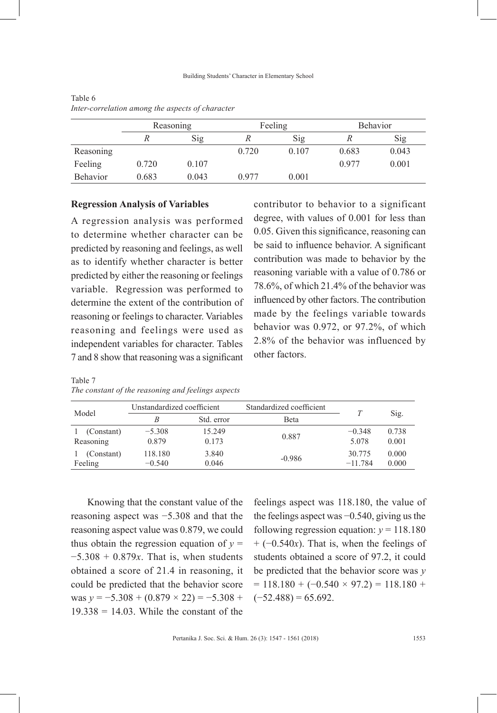|                 | Reasoning |       | Feeling |       | <b>Behavior</b> |       |
|-----------------|-----------|-------|---------|-------|-----------------|-------|
|                 |           | Sig   |         | Sig   |                 | Sig   |
| Reasoning       |           |       | 0.720   | 0.107 | 0.683           | 0.043 |
| Feeling         | 0.720     | 0.107 |         |       | 0.977           | 0.001 |
| <b>Behavior</b> | 0.683     | 0.043 | 0.977   | 0.001 |                 |       |

| Table 6                                          |  |  |  |
|--------------------------------------------------|--|--|--|
| Inter-correlation among the aspects of character |  |  |  |

#### **Regression Analysis of Variables**

A regression analysis was performed to determine whether character can be predicted by reasoning and feelings, as well as to identify whether character is better predicted by either the reasoning or feelings variable. Regression was performed to determine the extent of the contribution of reasoning or feelings to character. Variables reasoning and feelings were used as independent variables for character. Tables 7 and 8 show that reasoning was a significant

contributor to behavior to a significant degree, with values of 0.001 for less than 0.05. Given this significance, reasoning can be said to influence behavior. A significant contribution was made to behavior by the reasoning variable with a value of 0.786 or 78.6%, of which 21.4% of the behavior was influenced by other factors. The contribution made by the feelings variable towards behavior was 0.972, or 97.2%, of which 2.8% of the behavior was influenced by other factors.

| Model      | Unstandardized coefficient |            | Standardized coefficient |           |       |
|------------|----------------------------|------------|--------------------------|-----------|-------|
|            | B                          | Std. error | <b>Beta</b>              |           | Sig.  |
| (Constant) | $-5.308$                   | 15.249     | 0.887                    | $-0.348$  | 0.738 |
| Reasoning  | 0.879                      | 0.173      |                          | 5.078     | 0.001 |
| (Constant) | 118.180                    | 3.840      | $-0.986$                 | 30.775    | 0.000 |
| Feeling    | $-0.540$                   | 0.046      |                          | $-11.784$ | 0.000 |

Table 7 *The constant of the reasoning and feelings aspects*

Knowing that the constant value of the reasoning aspect was −5.308 and that the reasoning aspect value was 0.879, we could thus obtain the regression equation of  $y =$ −5.308 + 0.879*x*. That is, when students obtained a score of 21.4 in reasoning, it could be predicted that the behavior score was  $y = -5.308 + (0.879 \times 22) = -5.308 +$  $19.338 = 14.03$ . While the constant of the feelings aspect was 118.180, the value of the feelings aspect was −0.540, giving us the following regression equation:  $v = 118.180$ + (−0.540*x*). That is, when the feelings of students obtained a score of 97.2, it could be predicted that the behavior score was *y*  $= 118.180 + (-0.540 \times 97.2) = 118.180 +$  $(-52.488) = 65.692$ .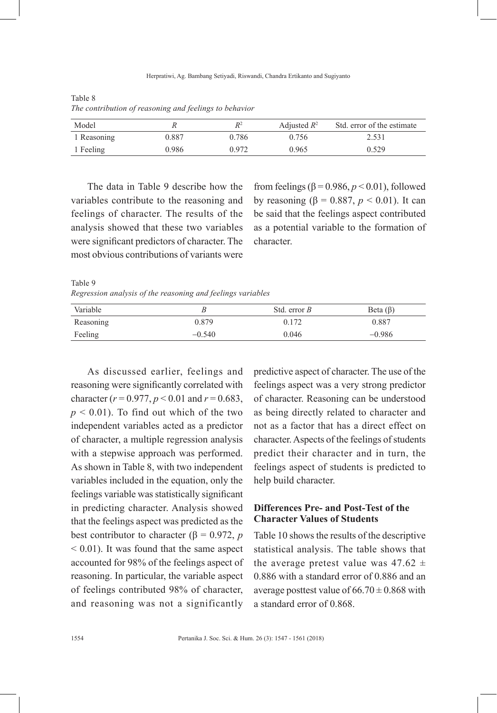| Model       |       | $R^2$ | Adjusted $R^2$ | Std. error of the estimate |
|-------------|-------|-------|----------------|----------------------------|
| 1 Reasoning | 0.887 | 0.786 | 0.756          | 2.531                      |
| 1 Feeling   | 0.986 | 0.972 | 0.965          | 0.529                      |

Table 8 *The contribution of reasoning and feelings to behavior*

The data in Table 9 describe how the variables contribute to the reasoning and feelings of character. The results of the analysis showed that these two variables were significant predictors of character. The most obvious contributions of variants were

from feelings ( $\beta$  = 0.986,  $p$  < 0.01), followed by reasoning (β = 0.887, *p* < 0.01). It can be said that the feelings aspect contributed as a potential variable to the formation of character.

Table 9

*Regression analysis of the reasoning and feelings variables*

| Variable  |          | Std. error $B$ | Beta $(\beta)$ |
|-----------|----------|----------------|----------------|
| Reasoning | 0.879    | 0.172          | 0.887          |
| Feeling   | $-0.540$ | 0.046          | $-0.986$       |

As discussed earlier, feelings and reasoning were significantly correlated with character ( $r = 0.977$ ,  $p < 0.01$  and  $r = 0.683$ ,  $p < 0.01$ ). To find out which of the two independent variables acted as a predictor of character, a multiple regression analysis with a stepwise approach was performed. As shown in Table 8, with two independent variables included in the equation, only the feelings variable was statistically significant in predicting character. Analysis showed that the feelings aspect was predicted as the best contributor to character ( $\beta$  = 0.972, *p* < 0.01). It was found that the same aspect accounted for 98% of the feelings aspect of reasoning. In particular, the variable aspect of feelings contributed 98% of character, and reasoning was not a significantly

predictive aspect of character. The use of the feelings aspect was a very strong predictor of character. Reasoning can be understood as being directly related to character and not as a factor that has a direct effect on character. Aspects of the feelings of students predict their character and in turn, the feelings aspect of students is predicted to help build character.

## **Differences Pre- and Post-Test of the Character Values of Students**

Table 10 shows the results of the descriptive statistical analysis. The table shows that the average pretest value was  $47.62 \pm$ 0.886 with a standard error of 0.886 and an average posttest value of  $66.70 \pm 0.868$  with a standard error of 0.868.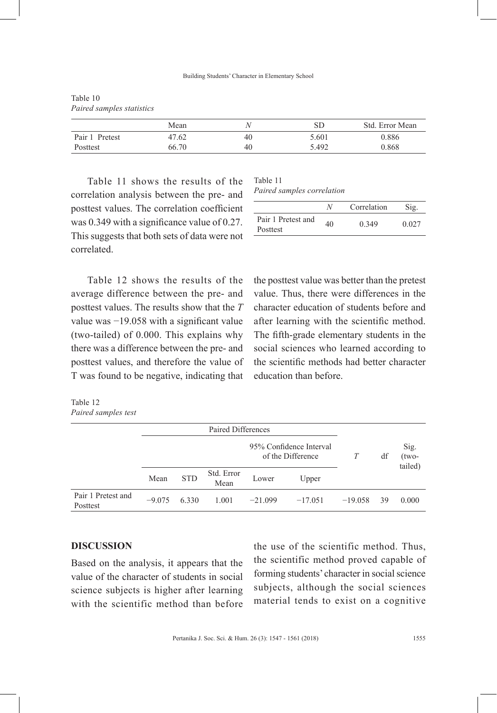|                | Mean  |    | SD    | Std. Error Mean |
|----------------|-------|----|-------|-----------------|
| Pair 1 Pretest | 47.62 | 40 | 5.601 | 0.886           |
| Posttest       | 66.70 | 40 | 5.492 | 0.868           |

Table 10 *Paired samples statistics*

Table 11 shows the results of the correlation analysis between the pre- and posttest values. The correlation coefficient was 0.349 with a significance value of 0.27. This suggests that both sets of data were not correlated.

| Table 11                   |  |
|----------------------------|--|
| Paired samples correlation |  |

|                                | N  | Correlation | Sig.  |
|--------------------------------|----|-------------|-------|
| Pair 1 Pretest and<br>Posttest | 40 | 0.349       | 0.027 |

Table 12 shows the results of the average difference between the pre- and posttest values. The results show that the *T* value was −19.058 with a significant value (two-tailed) of 0.000. This explains why there was a difference between the pre- and posttest values, and therefore the value of T was found to be negative, indicating that

the posttest value was better than the pretest value. Thus, there were differences in the character education of students before and after learning with the scientific method. The fifth-grade elementary students in the social sciences who learned according to the scientific methods had better character education than before.

Table 12 *Paired samples test*

|                                |          | Paired Differences |                    |                                              |           |           |    |                            |
|--------------------------------|----------|--------------------|--------------------|----------------------------------------------|-----------|-----------|----|----------------------------|
|                                |          |                    |                    | 95% Confidence Interval<br>of the Difference |           |           | df | Sig.<br>$(two-$<br>tailed) |
|                                | Mean     | <b>STD</b>         | Std. Error<br>Mean | Lower                                        | Upper     |           |    |                            |
| Pair 1 Pretest and<br>Posttest | $-9.075$ | 6.330              | 1.001              | $-21.099$                                    | $-17.051$ | $-19.058$ | 39 | 0.000                      |

#### **DISCUSSION**

Based on the analysis, it appears that the value of the character of students in social science subjects is higher after learning with the scientific method than before the use of the scientific method. Thus, the scientific method proved capable of forming students' character in social science subjects, although the social sciences material tends to exist on a cognitive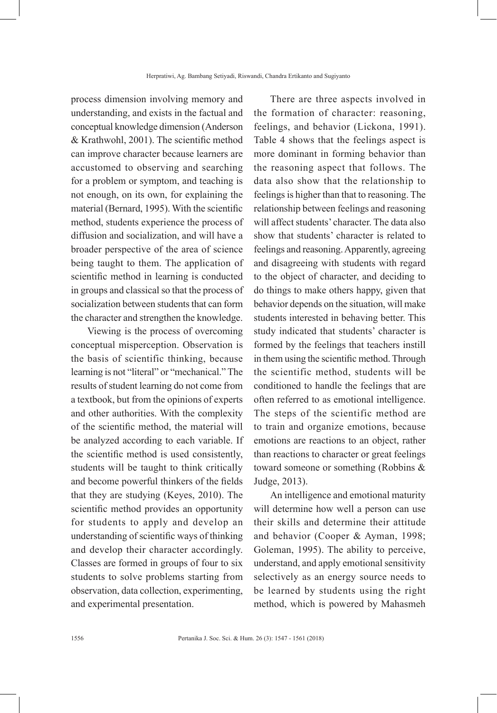process dimension involving memory and understanding, and exists in the factual and conceptual knowledge dimension (Anderson & Krathwohl, 2001). The scientific method can improve character because learners are accustomed to observing and searching for a problem or symptom, and teaching is not enough, on its own, for explaining the material (Bernard, 1995). With the scientific method, students experience the process of diffusion and socialization, and will have a broader perspective of the area of science being taught to them. The application of scientific method in learning is conducted in groups and classical so that the process of socialization between students that can form the character and strengthen the knowledge.

Viewing is the process of overcoming conceptual misperception. Observation is the basis of scientific thinking, because learning is not "literal" or "mechanical." The results of student learning do not come from a textbook, but from the opinions of experts and other authorities. With the complexity of the scientific method, the material will be analyzed according to each variable. If the scientific method is used consistently, students will be taught to think critically and become powerful thinkers of the fields that they are studying (Keyes, 2010). The scientific method provides an opportunity for students to apply and develop an understanding of scientific ways of thinking and develop their character accordingly. Classes are formed in groups of four to six students to solve problems starting from observation, data collection, experimenting, and experimental presentation.

There are three aspects involved in the formation of character: reasoning, feelings, and behavior (Lickona, 1991). Table 4 shows that the feelings aspect is more dominant in forming behavior than the reasoning aspect that follows. The data also show that the relationship to feelings is higher than that to reasoning. The relationship between feelings and reasoning will affect students' character. The data also show that students' character is related to feelings and reasoning. Apparently, agreeing and disagreeing with students with regard to the object of character, and deciding to do things to make others happy, given that behavior depends on the situation, will make students interested in behaving better. This study indicated that students' character is formed by the feelings that teachers instill in them using the scientific method. Through the scientific method, students will be conditioned to handle the feelings that are often referred to as emotional intelligence. The steps of the scientific method are to train and organize emotions, because emotions are reactions to an object, rather than reactions to character or great feelings toward someone or something (Robbins & Judge, 2013).

An intelligence and emotional maturity will determine how well a person can use their skills and determine their attitude and behavior (Cooper & Ayman, 1998; Goleman, 1995). The ability to perceive, understand, and apply emotional sensitivity selectively as an energy source needs to be learned by students using the right method, which is powered by Mahasmeh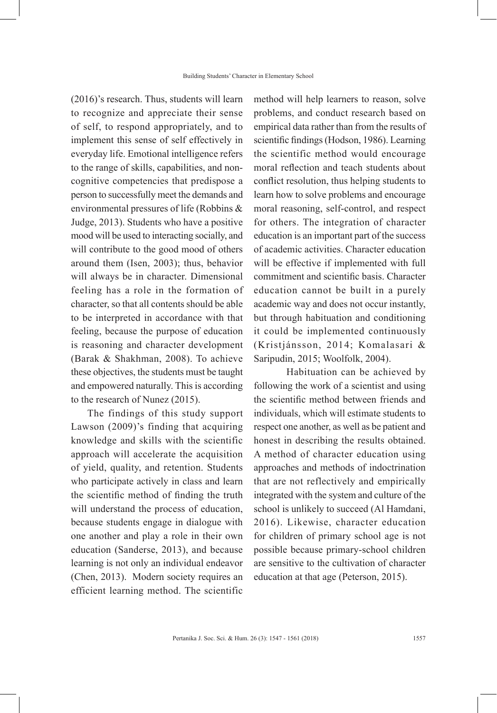(2016)'s research. Thus, students will learn to recognize and appreciate their sense of self, to respond appropriately, and to implement this sense of self effectively in everyday life. Emotional intelligence refers to the range of skills, capabilities, and noncognitive competencies that predispose a person to successfully meet the demands and environmental pressures of life (Robbins & Judge, 2013). Students who have a positive mood will be used to interacting socially, and will contribute to the good mood of others around them (Isen, 2003); thus, behavior will always be in character. Dimensional feeling has a role in the formation of character, so that all contents should be able to be interpreted in accordance with that feeling, because the purpose of education is reasoning and character development (Barak & Shakhman, 2008). To achieve these objectives, the students must be taught and empowered naturally. This is according to the research of Nunez (2015).

The findings of this study support Lawson (2009)'s finding that acquiring knowledge and skills with the scientific approach will accelerate the acquisition of yield, quality, and retention. Students who participate actively in class and learn the scientific method of finding the truth will understand the process of education, because students engage in dialogue with one another and play a role in their own education (Sanderse, 2013), and because learning is not only an individual endeavor (Chen, 2013). Modern society requires an efficient learning method. The scientific

method will help learners to reason, solve problems, and conduct research based on empirical data rather than from the results of scientific findings (Hodson, 1986). Learning the scientific method would encourage moral reflection and teach students about conflict resolution, thus helping students to learn how to solve problems and encourage moral reasoning, self-control, and respect for others. The integration of character education is an important part of the success of academic activities. Character education will be effective if implemented with full commitment and scientific basis. Character education cannot be built in a purely academic way and does not occur instantly, but through habituation and conditioning it could be implemented continuously (Kristjánsson, 2014; Komalasari & Saripudin, 2015; Woolfolk, 2004).

Habituation can be achieved by following the work of a scientist and using the scientific method between friends and individuals, which will estimate students to respect one another, as well as be patient and honest in describing the results obtained. A method of character education using approaches and methods of indoctrination that are not reflectively and empirically integrated with the system and culture of the school is unlikely to succeed (Al Hamdani, 2016). Likewise, character education for children of primary school age is not possible because primary-school children are sensitive to the cultivation of character education at that age (Peterson, 2015).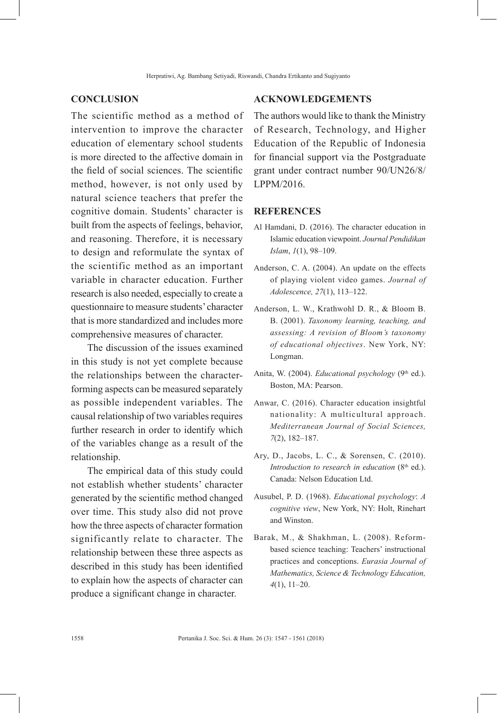#### **CONCLUSION**

The scientific method as a method of intervention to improve the character education of elementary school students is more directed to the affective domain in the field of social sciences. The scientific method, however, is not only used by natural science teachers that prefer the cognitive domain. Students' character is built from the aspects of feelings, behavior, and reasoning. Therefore, it is necessary to design and reformulate the syntax of the scientific method as an important variable in character education. Further research is also needed, especially to create a questionnaire to measure students' character that is more standardized and includes more comprehensive measures of character.

The discussion of the issues examined in this study is not yet complete because the relationships between the characterforming aspects can be measured separately as possible independent variables. The causal relationship of two variables requires further research in order to identify which of the variables change as a result of the relationship.

The empirical data of this study could not establish whether students' character generated by the scientific method changed over time. This study also did not prove how the three aspects of character formation significantly relate to character. The relationship between these three aspects as described in this study has been identified to explain how the aspects of character can produce a significant change in character.

### **ACKNOWLEDGEMENTS**

The authors would like to thank the Ministry of Research, Technology, and Higher Education of the Republic of Indonesia for financial support via the Postgraduate grant under contract number 90/UN26/8/ LPPM/2016.

#### **REFERENCES**

- Al Hamdani, D. (2016). The character education in Islamic education viewpoint. *Journal Pendidikan Islam*, *1*(1), 98–109.
- Anderson, C. A. (2004). An update on the effects of playing violent video games. *Journal of Adolescence, 27*(1), 113–122.
- Anderson, L. W., Krathwohl D. R., & Bloom B. B. (2001). *Taxonomy learning, teaching, and assessing: A revision of Bloom's taxonomy of educational objectives*. New York, NY: Longman.
- Anita, W. (2004). *Educational psychology* (9<sup>th</sup> ed.). Boston, MA: Pearson.
- Anwar, C. (2016). Character education insightful nationality: A multicultural approach. *Mediterranean Journal of Social Sciences, 7*(2), 182–187.
- Ary, D., Jacobs, L. C., & Sorensen, C. (2010). *Introduction to research in education* (8<sup>th</sup> ed.). Canada: Nelson Education Ltd.
- Ausubel, P. D. (1968). *Educational psychology*: *A cognitive view*, New York, NY: Holt, Rinehart and Winston.
- Barak, M., & Shakhman, L. (2008). Reformbased science teaching: Teachers' instructional practices and conceptions. *Eurasia Journal of Mathematics, Science & Technology Education, 4*(1), 11–20.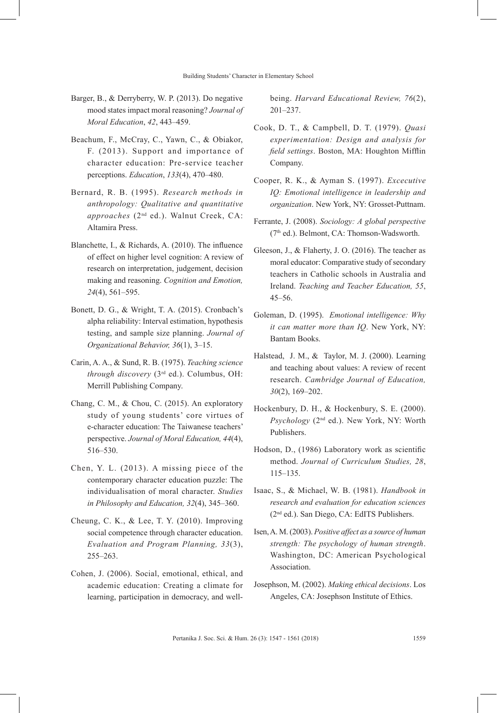- Barger, B., & Derryberry, W. P. (2013). Do negative mood states impact moral reasoning? *Journal of Moral Education*, *42*, 443–459.
- Beachum, F., McCray, C., Yawn, C., & Obiakor, F. (2013). Support and importance of character education: Pre-service teacher perceptions. *Education*, *133*(4), 470–480.
- Bernard, R. B. (1995). *Research methods in anthropology: Qualitative and quantitative approaches* (2nd ed.). Walnut Creek, CA: Altamira Press.
- Blanchette, I., & Richards, A. (2010). The influence of effect on higher level cognition: A review of research on interpretation, judgement, decision making and reasoning. *Cognition and Emotion, 24*(4), 561–595.
- Bonett, D. G., & Wright, T. A. (2015). Cronbach's alpha reliability: Interval estimation, hypothesis testing, and sample size planning. *Journal of Organizational Behavior, 36*(1), 3–15.
- Carin, A. A., & Sund, R. B. (1975). *Teaching science through discovery* (3rd ed.). Columbus, OH: Merrill Publishing Company.
- Chang, C. M., & Chou, C. (2015). An exploratory study of young students' core virtues of e-character education: The Taiwanese teachers' perspective. *Journal of Moral Education, 44*(4), 516–530.
- Chen, Y. L. (2013). A missing piece of the contemporary character education puzzle: The individualisation of moral character. *Studies in Philosophy and Education, 32*(4), 345–360.
- Cheung, C. K., & Lee, T. Y. (2010). Improving social competence through character education. *Evaluation and Program Planning, 33*(3), 255–263.
- Cohen, J. (2006). Social, emotional, ethical, and academic education: Creating a climate for learning, participation in democracy, and well-

being. *Harvard Educational Review, 76*(2), 201–237.

- Cook, D. T., & Campbell, D. T. (1979). *Quasi experimentation: Design and analysis for field settings*. Boston, MA: Houghton Mifflin Company.
- Cooper, R. K., & Ayman S. (1997). *Excecutive IQ: Emotional intelligence in leadership and organization*. New York, NY: Grosset-Puttnam.
- Ferrante, J. (2008). *Sociology: A global perspective* (7<sup>th</sup> ed.). Belmont, CA: Thomson-Wadsworth.
- Gleeson, J., & Flaherty, J. O. (2016). The teacher as moral educator: Comparative study of secondary teachers in Catholic schools in Australia and Ireland. *Teaching and Teacher Education, 55*, 45–56.
- Goleman, D. (1995). *Emotional intelligence: Why it can matter more than IQ*. New York, NY: Bantam Books.
- Halstead, J. M., & Taylor, M. J. (2000). Learning and teaching about values: A review of recent research. *Cambridge Journal of Education, 30*(2), 169–202.
- Hockenbury, D. H., & Hockenbury, S. E. (2000). *Psychology* (2nd ed.). New York, NY: Worth Publishers.
- Hodson, D., (1986) Laboratory work as scientific method. *Journal of Curriculum Studies, 28*, 115–135.
- Isaac, S., & Michael, W. B. (1981). *Handbook in research and evaluation for education sciences* (2nd ed.). San Diego, CA: EdITS Publishers.
- Isen, A. M. (2003). *Positive affect as a source of human strength: The psychology of human strength*. Washington, DC: American Psychological Association.
- Josephson, M. (2002). *Making ethical decisions*. Los Angeles, CA: Josephson Institute of Ethics.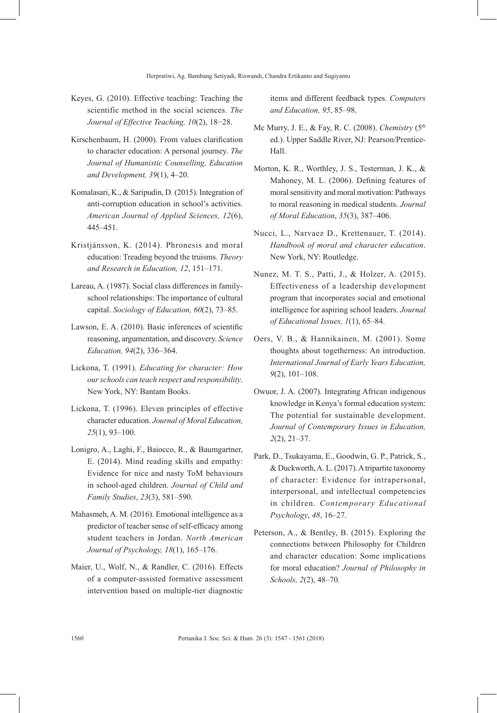- Keyes, G. (2010). Effective teaching: Teaching the scientific method in the social sciences. *The Journal of Effective Teaching, 10*(2), 18−28.
- Kirschenbaum, H. (2000). From values clarification to character education: A personal journey. *The Journal of Humanistic Counselling, Education and Development, 39*(1), 4–20.
- Komalasari, K., & Saripudin, D. (2015). Integration of anti-corruption education in school's activities. *American Journal of Applied Sciences, 12*(6), 445–451.
- Kristjánsson, K. (2014). Phronesis and moral education: Treading beyond the truisms. *Theory and Research in Education, 12*, 151–171.
- Lareau, A. (1987). Social class differences in familyschool relationships: The importance of cultural capital. *Sociology of Education, 60*(2), 73–85.
- Lawson, E. A. (2010). Basic inferences of scientific reasoning, argumentation, and discovery. *Science Education, 94*(2), 336–364.
- Lickona, T. (1991). *Educating for character: How our schools can teach respect and responsibility*. New York, NY: Bantam Books.
- Lickona, T. (1996). Eleven principles of effective character education. *Journal of Moral Education, 25*(1), 93–100.
- Lonigro, A., Laghi, F., Baiocco, R., & Baumgartner, E. (2014). Mind reading skills and empathy: Evidence for nice and nasty ToM behaviours in school-aged children. *Journal of Child and Family Studies*, *23*(3), 581–590.
- Mahasmeh, A. M. (2016). Emotional intelligence as a predictor of teacher sense of self-efficacy among student teachers in Jordan. *North American Journal of Psychology, 18*(1), 165–176.
- Maier, U., Wolf, N., & Randler, C. (2016). Effects of a computer-assisted formative assessment intervention based on multiple-tier diagnostic

items and different feedback types. *Computers and Education, 95*, 85–98.

- Mc Murry, J. E., & Fay, R. C. (2008). *Chemistry* (5th ed.). Upper Saddle River, NJ: Pearson/Prentice-Hall.
- Morton, K. R., Worthley, J. S., Testerman, J. K., & Mahoney, M. L. (2006). Defining features of moral sensitivity and moral motivation: Pathways to moral reasoning in medical students. *Journal of Moral Education*, *35*(3), 387–406.
- Nucci, L., Narvaez D., Krettenauer, T. (2014). *Handbook of moral and character education*. New York, NY: Routledge.
- Nunez, M. T. S., Patti, J., & Holzer, A. (2015). Effectiveness of a leadership development program that incorporates social and emotional intelligence for aspiring school leaders. *Journal of Educational Issues, 1*(1), 65–84.
- Oers, V. B., & Hannikainen, M. (2001). Some thoughts about togetherness: An introduction. *International Journal of Early Years Education, 9*(2), 101–108.
- Owuor, J. A. (2007). Integrating African indigenous knowledge in Kenya's formal education system: The potential for sustainable development. *Journal of Contemporary Issues in Education, 2*(2), 21–37.
- Park, D., Tsukayama, E., Goodwin, G. P., Patrick, S., & Duckworth, A. L. (2017). A tripartite taxonomy of character: Evidence for intrapersonal, interpersonal, and intellectual competencies in children. *Contemporary Educational Psychology*, *48*, 16–27.
- Peterson, A., & Bentley, B. (2015). Exploring the connections between Philosophy for Children and character education: Some implications for moral education? *Journal of Philosophy in Schools, 2*(2), 48–70.